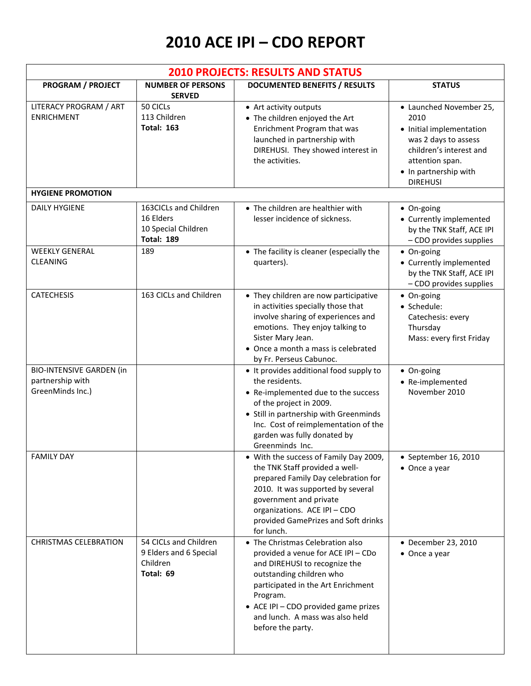## **2010 ACE IPI – CDO REPORT**

| <b>2010 PROJECTS: RESULTS AND STATUS</b>                                |                                                                                |                                                                                                                                                                                                                                                                                       |                                                                                                                                                                               |  |  |
|-------------------------------------------------------------------------|--------------------------------------------------------------------------------|---------------------------------------------------------------------------------------------------------------------------------------------------------------------------------------------------------------------------------------------------------------------------------------|-------------------------------------------------------------------------------------------------------------------------------------------------------------------------------|--|--|
| <b>PROGRAM / PROJECT</b>                                                | <b>NUMBER OF PERSONS</b><br><b>SERVED</b>                                      | <b>DOCUMENTED BENEFITS / RESULTS</b>                                                                                                                                                                                                                                                  | <b>STATUS</b>                                                                                                                                                                 |  |  |
| LITERACY PROGRAM / ART<br><b>ENRICHMENT</b>                             | 50 CICLS<br>113 Children<br><b>Total: 163</b>                                  | • Art activity outputs<br>• The children enjoyed the Art<br>Enrichment Program that was<br>launched in partnership with<br>DIREHUSI. They showed interest in<br>the activities.                                                                                                       | • Launched November 25,<br>2010<br>• Initial implementation<br>was 2 days to assess<br>children's interest and<br>attention span.<br>• In partnership with<br><b>DIREHUSI</b> |  |  |
| <b>HYGIENE PROMOTION</b>                                                |                                                                                |                                                                                                                                                                                                                                                                                       |                                                                                                                                                                               |  |  |
| <b>DAILY HYGIENE</b>                                                    | 163CICLs and Children<br>16 Elders<br>10 Special Children<br><b>Total: 189</b> | • The children are healthier with<br>lesser incidence of sickness.                                                                                                                                                                                                                    | • On-going<br>• Currently implemented<br>by the TNK Staff, ACE IPI<br>- CDO provides supplies                                                                                 |  |  |
| <b>WEEKLY GENERAL</b><br><b>CLEANING</b>                                | 189                                                                            | • The facility is cleaner (especially the<br>quarters).                                                                                                                                                                                                                               | • On-going<br>• Currently implemented<br>by the TNK Staff, ACE IPI<br>- CDO provides supplies                                                                                 |  |  |
| <b>CATECHESIS</b>                                                       | 163 CICLs and Children                                                         | • They children are now participative<br>in activities specially those that<br>involve sharing of experiences and<br>emotions. They enjoy talking to<br>Sister Mary Jean.<br>• Once a month a mass is celebrated<br>by Fr. Perseus Cabunoc.                                           | • On-going<br>· Schedule:<br>Catechesis: every<br>Thursday<br>Mass: every first Friday                                                                                        |  |  |
| <b>BIO-INTENSIVE GARDEN (in</b><br>partnership with<br>GreenMinds Inc.) |                                                                                | • It provides additional food supply to<br>the residents.<br>• Re-implemented due to the success<br>of the project in 2009.<br>• Still in partnership with Greenminds<br>Inc. Cost of reimplementation of the<br>garden was fully donated by<br>Greenminds Inc.                       | • On-going<br>• Re-implemented<br>November 2010                                                                                                                               |  |  |
| <b>FAMILY DAY</b>                                                       |                                                                                | • With the success of Family Day 2009,<br>the TNK Staff provided a well-<br>prepared Family Day celebration for<br>2010. It was supported by several<br>government and private<br>organizations. ACE IPI - CDO<br>provided GamePrizes and Soft drinks<br>for lunch.                   | $\bullet$ September 16, 2010<br>$\bullet$ Once a year                                                                                                                         |  |  |
| <b>CHRISTMAS CELEBRATION</b>                                            | 54 CICLs and Children<br>9 Elders and 6 Special<br>Children<br>Total: 69       | • The Christmas Celebration also<br>provided a venue for ACE IPI - CDo<br>and DIREHUSI to recognize the<br>outstanding children who<br>participated in the Art Enrichment<br>Program.<br>• ACE IPI - CDO provided game prizes<br>and lunch. A mass was also held<br>before the party. | • December 23, 2010<br>• Once a year                                                                                                                                          |  |  |